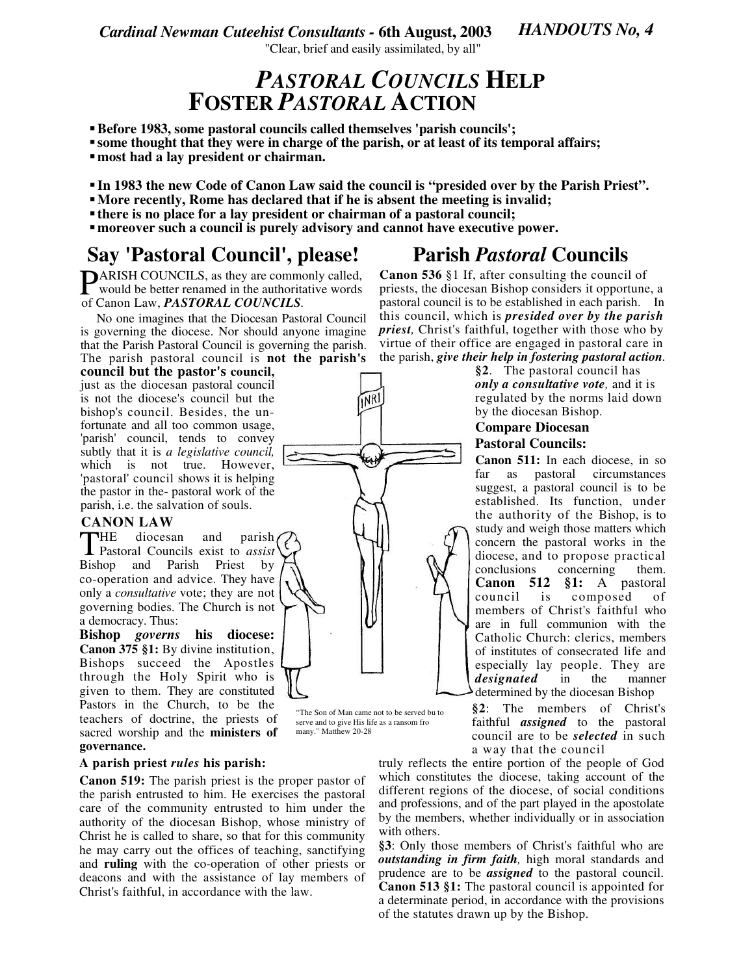*Cardinal Newman Cuteehist Consultants -* **6th August, 2003**

*HANDOUTS No, 4*

"Clear, brief and easily assimilated, by all"

### *PASTORAL COUNCILS* **HELP FOSTER** *PASTORAL* **ACTION**

- **Before 1983, some pastoral councils called themselves 'parish councils';**
- **some thought that they were in charge of the parish, or at least of its temporal affairs;**
- **most had a lay president or chairman.**
- **In 1983 the new Code of Canon Law said the council is "presided over by the Parish Priest".**
- **More recently, Rome has declared that if he is absent the meeting is invalid;**
- **there is no place for a lay president or chairman of a pastoral council;**
- **moreover such a council is purely advisory and cannot have executive power.**

### **Say 'Pastoral Council'**

ARISH COUNCILS, as they are commonly called, **PARISH COUNCILS**, as they are commonly called,<br>would be better renamed in the authoritative words of Canon Law, *PASTORAL COUNCILS.*

No one imagines that the Diocesan Pastoral Council is governing the diocese. Nor should anyone imagine that the Parish Pastoral Council is governing the parish. The parish pastoral council is **not the parish's**

**council but the pastor's council,** just as the diocesan pastoral council is not the diocese's council but the bishop's council. Besides, the unfortunate and all too common usage, 'parish' council, tends to convey subtly that it is *a legislative council,* which is not true. However, 'pastoral' council shows it is helping the pastor in the- pastoral work of the parish, i.e. the salvation of souls.

### **CANON LAW**

**HE** diocesan and parish THE diocesan and parish<br>Pastoral Councils exist to *assist* Bishop and Parish Priest by co-operation and advice. They have only a *consultative* vote; they are not governing bodies. The Church is not a democracy. Thus:

**Bishop** *governs* **his diocese: Canon 375 §1:** By divine institution, Bishops succeed the Apostles through the Holy Spirit who is given to them. They are constituted Pastors in the Church, to be the teachers of doctrine, the priests of sacred worship and the **ministers of governance.**

#### **A parish priest** *rules* **his parish:**

**Canon 519:** The parish priest is the proper pastor of the parish entrusted to him. He exercises the pastoral care of the community entrusted to him under the authority of the diocesan Bishop, whose ministry of Christ he is called to share, so that for this community he may carry out the offices of teaching, sanctifying and **ruling** with the co-operation of other priests or deacons and with the assistance of lay members of Christ's faithful, in accordance with the law.

# **, please! Parish** *Pastoral* **Councils**

**Canon 536** §1 If, after consulting the council of priests, the diocesan Bishop considers it opportune, a pastoral council is to be established in each parish. In this council, which is *presided over by the parish priest,* Christ's faithful, together with those who by virtue of their office are engaged in pastoral care in the parish, *give their help in fostering pastoral action.*

> **§2**. The pastoral council has *only a consultative vote,* and it is regulated by the norms laid down by the diocesan Bishop.

# **Compare Diocesan**

**Pastoral Councils:**

**Canon 511:** In each diocese, in so far as pastoral circumstances suggest, a pastoral council is to be established. Its function, under the authority of the Bishop, is to study and weigh those matters which concern the pastoral works in the diocese, and to propose practical conclusions concerning them. **Canon 512 §1:** A pastoral council is composed of members of Christ's faithful who are in full communion with the Catholic Church: clerics, members of institutes of consecrated life and especially lay people. They are *designated* in the manner determined by the diocesan Bishop

**§2**: The members of Christ's faithful *assigned* to the pastoral council are to be *selected* in such a way that the council

truly reflects the entire portion of the people of God which constitutes the diocese, taking account of the different regions of the diocese, of social conditions and professions, and of the part played in the apostolate by the members, whether individually or in association with others.

**§3**: Only those members of Christ's faithful who are *outstanding in firm faith,* high moral standards and prudence are to be *assigned* to the pastoral council. **Canon 513 §1:** The pastoral council is appointed for a determinate period, in accordance with the provisions of the statutes drawn up by the Bishop.

4

"The Son of Man came not to be served bu to serve and to give His life as a ransom fro

many." Matthew 20-28